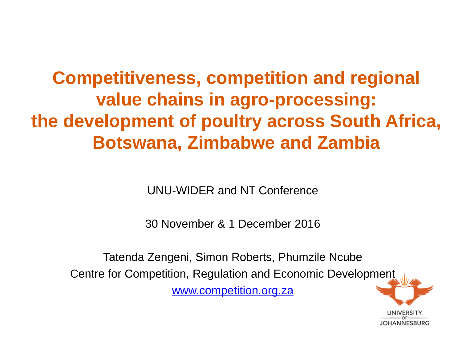## **Competitiveness, competition and regional value chains in agro-processing: the development of poultry across South Africa, Botswana, Zimbabwe and Zambia**

UNU-WIDER and NT Conference

30 November & 1 December 2016

Tatenda Zengeni, Simon Roberts, Phumzile Ncube Centre for Competition, Regulation and Economic Development [www.competition.org.za](http://www.competition.org.za/)

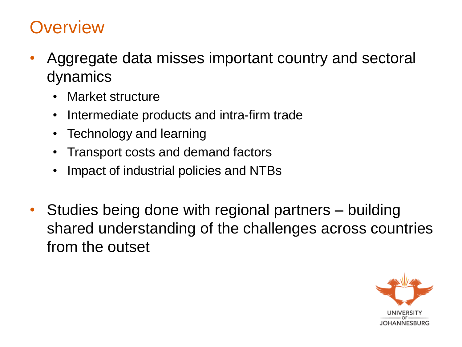### **Overview**

- Aggregate data misses important country and sectoral dynamics
	- Market structure
	- Intermediate products and intra-firm trade
	- Technology and learning
	- Transport costs and demand factors
	- Impact of industrial policies and NTBs
- Studies being done with regional partners building shared understanding of the challenges across countries from the outset

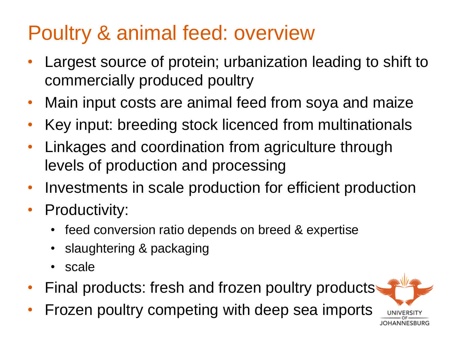# Poultry & animal feed: overview

- Largest source of protein; urbanization leading to shift to commercially produced poultry
- Main input costs are animal feed from soya and maize
- Key input: breeding stock licenced from multinationals
- Linkages and coordination from agriculture through levels of production and processing
- Investments in scale production for efficient production
- Productivity:
	- feed conversion ratio depends on breed & expertise
	- slaughtering & packaging
	- scale
- Final products: fresh and frozen poultry products
- Frozen poultry competing with deep sea imports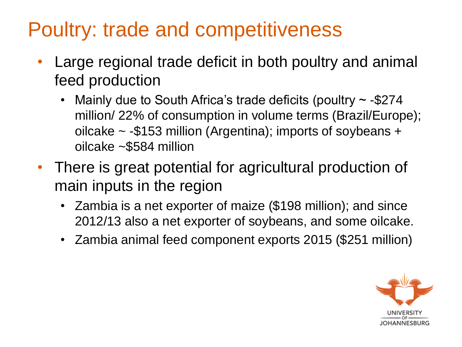# Poultry: trade and competitiveness

- Large regional trade deficit in both poultry and animal feed production
	- Mainly due to South Africa's trade deficits (poultry  $\sim$  -\$274 million/ 22% of consumption in volume terms (Brazil/Europe); oilcake ~ -\$153 million (Argentina); imports of soybeans + oilcake ~\$584 million
- There is great potential for agricultural production of main inputs in the region
	- Zambia is a net exporter of maize (\$198 million); and since 2012/13 also a net exporter of soybeans, and some oilcake.
	- Zambia animal feed component exports 2015 (\$251 million)

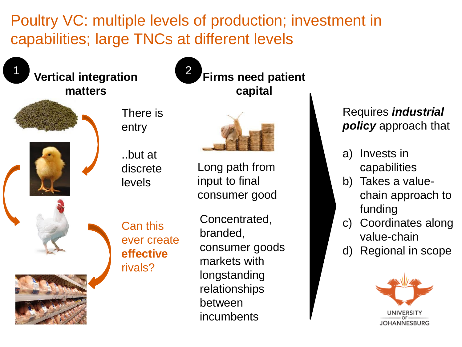Poultry VC: multiple levels of production; investment in capabilities; large TNCs at different levels

2



**Vertical integration matters** 







..but at discrete levels



**Firms need patient** 

**capital**

Long path from input to final consumer good



Can this ever create **effective**  rivals?

Concentrated, branded, consumer goods markets with longstanding relationships between incumbents

### Requires *industrial policy* approach that

- a) Invests in capabilities
- b) Takes a valuechain approach to funding
- c) Coordinates along value-chain
- d) Regional in scope

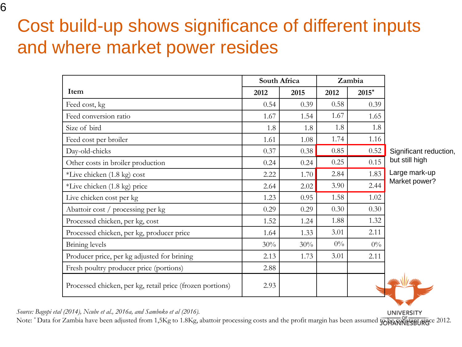### Cost build-up shows significance of different inputs and where market power resides

|                                                           | South Africa |      | Zambia |         |                 |
|-----------------------------------------------------------|--------------|------|--------|---------|-----------------|
| Item                                                      | 2012         | 2015 | 2012   | $2015*$ |                 |
| Feed cost, kg                                             | 0.54         | 0.39 | 0.58   | 0.39    |                 |
| Feed conversion ratio                                     | 1.67         | 1.54 | 1.67   | 1.65    |                 |
| Size of bird                                              | 1.8          | 1.8  | 1.8    | 1.8     |                 |
| Feed cost per broiler                                     | 1.61         | 1.08 | 1.74   | 1.16    |                 |
| Day-old-chicks                                            | 0.37         | 0.38 | 0.85   | 0.52    | Significant red |
| Other costs in broiler production                         | 0.24         | 0.24 | 0.25   | 0.15    | but still high  |
| *Live chicken (1.8 kg) cost                               | 2.22         | 1.70 | 2.84   | 1.83    | Large mark-up   |
| *Live chicken (1.8 kg) price                              | 2.64         | 2.02 | 3.90   | 2.44    | Market power    |
| Live chicken cost per kg                                  | 1.23         | 0.95 | 1.58   | 1.02    |                 |
| Abattoir cost / processing per kg                         | 0.29         | 0.29 | 0.30   | 0.30    |                 |
| Processed chicken, per kg, cost                           | 1.52         | 1.24 | 1.88   | 1.32    |                 |
| Processed chicken, per kg, producer price                 | 1.64         | 1.33 | 3.01   | 2.11    |                 |
| Brining levels                                            | 30%          | 30%  | $0\%$  | $0\%$   |                 |
| Producer price, per kg adjusted for brining               | 2.13         | 1.73 | 3.01   | 2.11    |                 |
| Fresh poultry producer price (portions)                   | 2.88         |      |        |         |                 |
| Processed chicken, per kg, retail price (frozen portions) | 2.93         |      |        |         |                 |

eduction,

up  $rr$ 

**UNIVERSITY** 

*Source: Bagopi etal (2014), Ncube et al., 2016a, and Samboko et al (2016).* 

Note: \* Data for Zambia have been adjusted from 1,5Kg to 1.8Kg, abattoir processing costs and the profit margin has been assumed to be assumed to be the since 2012.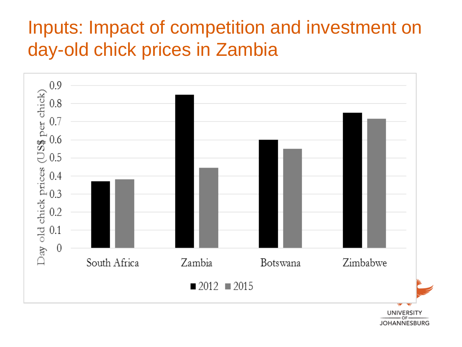## Inputs: Impact of competition and investment on day-old chick prices in Zambia



JOHANNESBURG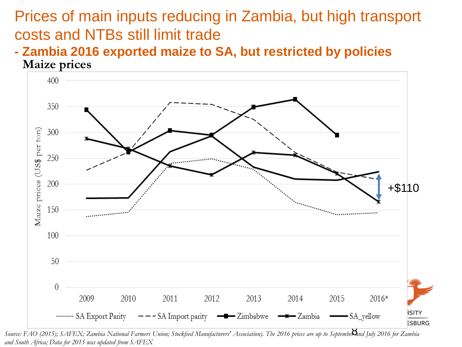### Prices of main inputs reducing in Zambia, but high transport costs and NTBs still limit trade

**- Zambia 2016 exported maize to SA, but restricted by policies Maize prices**



Source: FAO (2015); SAFEX; Zambia National Farmers Union; Stockfeed Manufacturers' Association). The 2016 prices are up to Septembe**X**und July 2016 for Zambia *and South Africa; Data for 2015 was updated from SAFEX*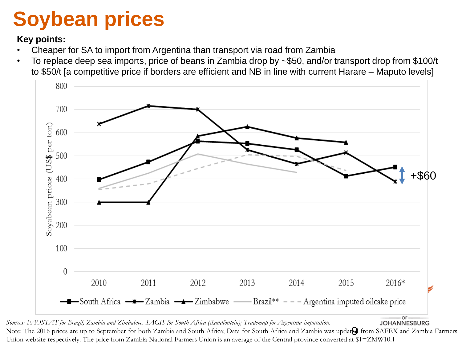# **Soybean prices**

#### **Key points:**

- Cheaper for SA to import from Argentina than transport via road from Zambia
- To replace deep sea imports, price of beans in Zambia drop by ~\$50, and/or transport drop from \$100/t to \$50/t [a competitive price if borders are efficient and NB in line with current Harare – Maputo levels]



OF Sources: FAOSTAT for Brazil, Zambia and Zimbabwe. SAGIS for South Africa (Randfontein); Trademap for Argentina imputation. **JOHANNESBURG** Note: The 2016 prices are up to September for both Zambia and South Africa; Data for South Africa and Zambia was updated from SAFEX and Zambia Farmers Union website respectively. The price from Zambia National Farmers Union is an average of the Central province converted at \$1=ZMW10.1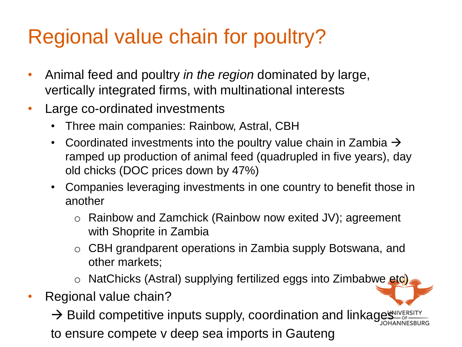# Regional value chain for poultry?

- Animal feed and poultry *in the region* dominated by large, vertically integrated firms, with multinational interests
- Large co-ordinated investments
	- Three main companies: Rainbow, Astral, CBH
	- Coordinated investments into the poultry value chain in Zambia  $\rightarrow$ ramped up production of animal feed (quadrupled in five years), day old chicks (DOC prices down by 47%)
	- Companies leveraging investments in one country to benefit those in another
		- o Rainbow and Zamchick (Rainbow now exited JV); agreement with Shoprite in Zambia
		- o CBH grandparent operations in Zambia supply Botswana, and other markets;
		- o NatChicks (Astral) supplying fertilized eggs into Zimbabwe etc).
- Regional value chain?

 $\rightarrow$  Build competitive inputs supply, coordination and linkages  $\frac{1}{2}$ to ensure compete v deep sea imports in Gauteng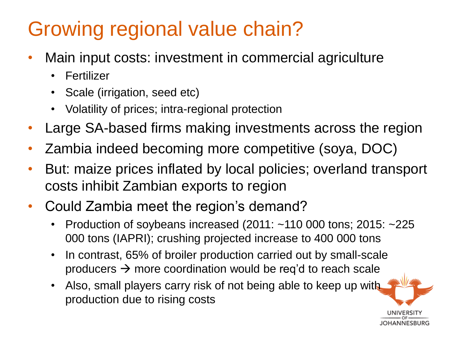# Growing regional value chain?

- Main input costs: investment in commercial agriculture
	- Fertilizer
	- Scale (irrigation, seed etc)
	- Volatility of prices; intra-regional protection
- Large SA-based firms making investments across the region
- Zambia indeed becoming more competitive (soya, DOC)
- But: maize prices inflated by local policies; overland transport costs inhibit Zambian exports to region
- Could Zambia meet the region's demand?
	- Production of soybeans increased  $(2011: -110\ 000$  tons; 2015:  $-225$ 000 tons (IAPRI); crushing projected increase to 400 000 tons
	- In contrast, 65% of broiler production carried out by small-scale producers  $\rightarrow$  more coordination would be req'd to reach scale
	- Also, small players carry risk of not being able to keep up with production due to rising costs